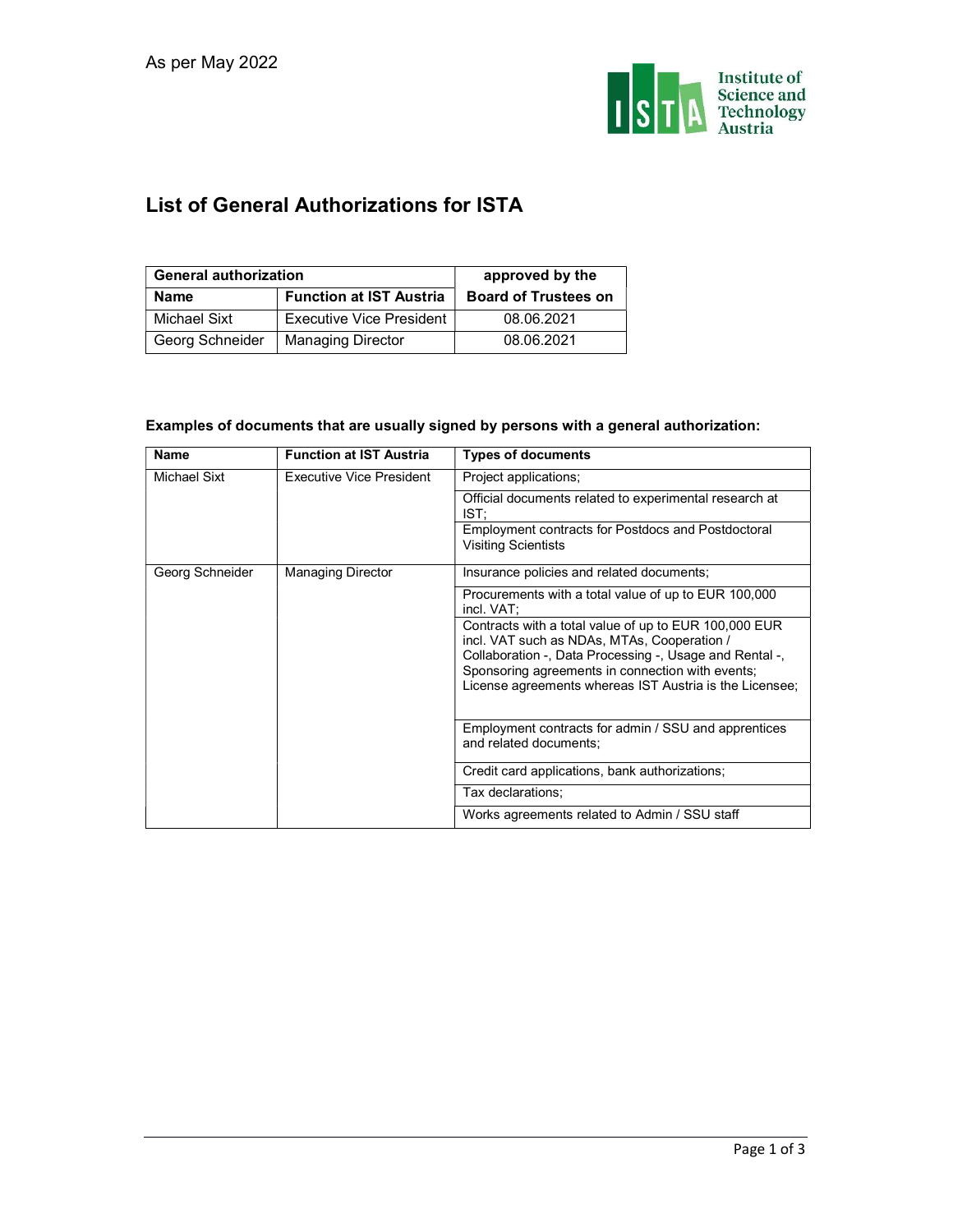

## List of General Authorizations for ISTA

| <b>General authorization</b> |                                | approved by the             |  |
|------------------------------|--------------------------------|-----------------------------|--|
| <b>Name</b>                  | <b>Function at IST Austria</b> | <b>Board of Trustees on</b> |  |
| Michael Sixt                 | Executive Vice President       | 08.06.2021                  |  |
| Georg Schneider              | <b>Managing Director</b>       | 08.06.2021                  |  |

## Examples of documents that are usually signed by persons with a general authorization:

| <b>Name</b>     | <b>Function at IST Austria</b>  | <b>Types of documents</b>                                                                                                                                                                                                                                                      |
|-----------------|---------------------------------|--------------------------------------------------------------------------------------------------------------------------------------------------------------------------------------------------------------------------------------------------------------------------------|
| Michael Sixt    | <b>Executive Vice President</b> | Project applications;                                                                                                                                                                                                                                                          |
|                 |                                 | Official documents related to experimental research at<br>IST:                                                                                                                                                                                                                 |
|                 |                                 | Employment contracts for Postdocs and Postdoctoral<br><b>Visiting Scientists</b>                                                                                                                                                                                               |
| Georg Schneider | <b>Managing Director</b>        | Insurance policies and related documents;                                                                                                                                                                                                                                      |
|                 |                                 | Procurements with a total value of up to EUR 100,000<br>incl. VAT:                                                                                                                                                                                                             |
|                 |                                 | Contracts with a total value of up to EUR 100,000 EUR<br>incl. VAT such as NDAs, MTAs, Cooperation /<br>Collaboration -, Data Processing -, Usage and Rental -,<br>Sponsoring agreements in connection with events;<br>License agreements whereas IST Austria is the Licensee; |
|                 |                                 | Employment contracts for admin / SSU and apprentices<br>and related documents;                                                                                                                                                                                                 |
|                 |                                 | Credit card applications, bank authorizations;                                                                                                                                                                                                                                 |
|                 |                                 | Tax declarations;                                                                                                                                                                                                                                                              |
|                 |                                 | Works agreements related to Admin / SSU staff                                                                                                                                                                                                                                  |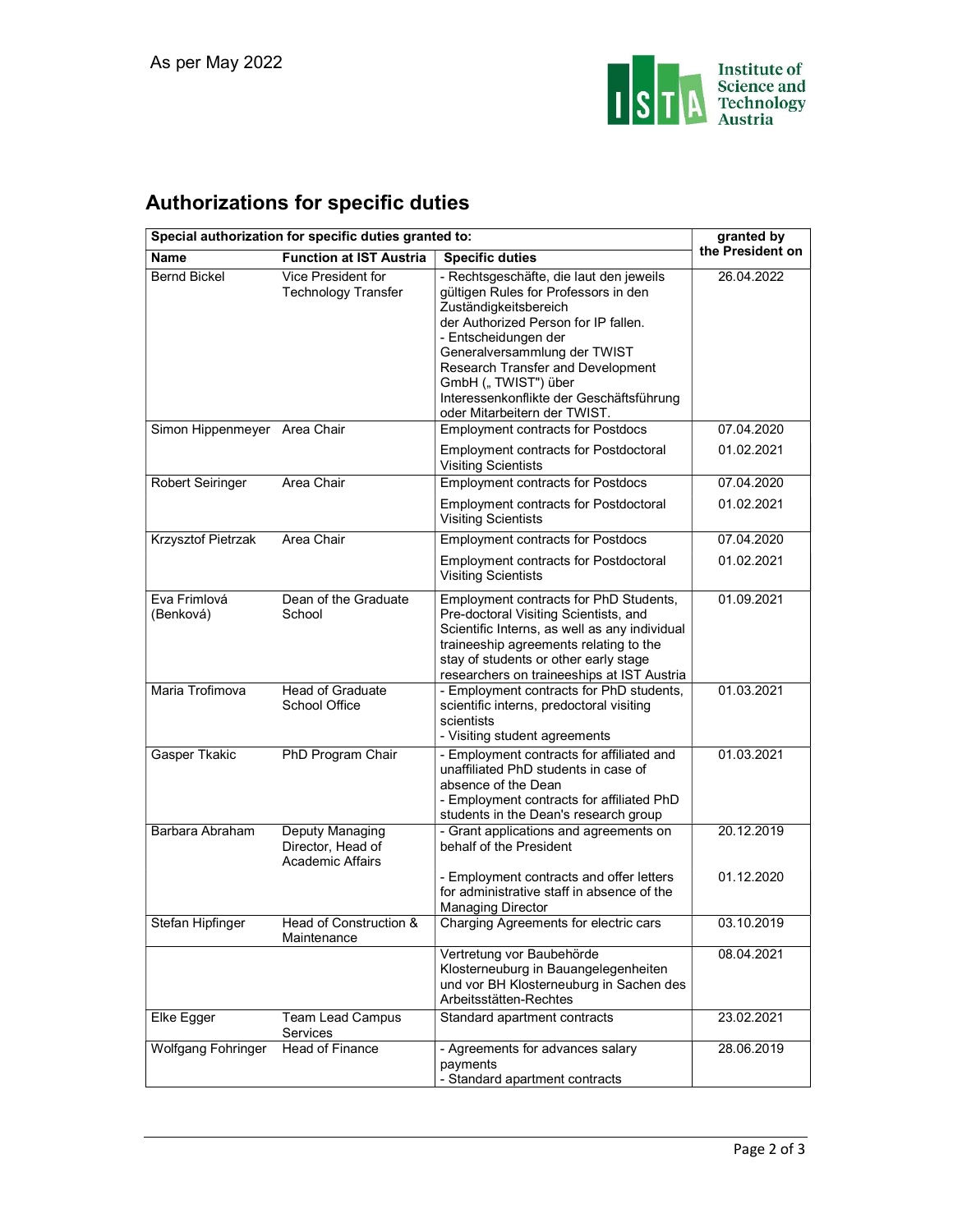

## Authorizations for specific duties

| Special authorization for specific duties granted to: | granted by                                               |                                                                                                                                                                                                                                                                                                                                                  |                          |
|-------------------------------------------------------|----------------------------------------------------------|--------------------------------------------------------------------------------------------------------------------------------------------------------------------------------------------------------------------------------------------------------------------------------------------------------------------------------------------------|--------------------------|
| Name                                                  | <b>Function at IST Austria</b>                           | <b>Specific duties</b>                                                                                                                                                                                                                                                                                                                           | the President on         |
| <b>Bernd Bickel</b>                                   | Vice President for<br><b>Technology Transfer</b>         | - Rechtsgeschäfte, die laut den jeweils<br>gültigen Rules for Professors in den<br>Zuständigkeitsbereich<br>der Authorized Person for IP fallen.<br>- Entscheidungen der<br>Generalversammlung der TWIST<br>Research Transfer and Development<br>GmbH ("TWIST") über<br>Interessenkonflikte der Geschäftsführung<br>oder Mitarbeitern der TWIST. | 26.04.2022               |
| Simon Hippenmeyer Area Chair                          |                                                          | <b>Employment contracts for Postdocs</b><br><b>Employment contracts for Postdoctoral</b><br><b>Visiting Scientists</b>                                                                                                                                                                                                                           | 07.04.2020<br>01.02.2021 |
| <b>Robert Seiringer</b>                               | Area Chair                                               | <b>Employment contracts for Postdocs</b><br><b>Employment contracts for Postdoctoral</b><br><b>Visiting Scientists</b>                                                                                                                                                                                                                           | 07.04.2020<br>01.02.2021 |
| <b>Krzysztof Pietrzak</b>                             | Area Chair                                               | <b>Employment contracts for Postdocs</b><br><b>Employment contracts for Postdoctoral</b><br><b>Visiting Scientists</b>                                                                                                                                                                                                                           | 07.04.2020<br>01.02.2021 |
| Eva Frimlová<br>(Benková)                             | Dean of the Graduate<br>School                           | Employment contracts for PhD Students,<br>Pre-doctoral Visiting Scientists, and<br>Scientific Interns, as well as any individual<br>traineeship agreements relating to the<br>stay of students or other early stage<br>researchers on traineeships at IST Austria                                                                                | 01.09.2021               |
| Maria Trofimova                                       | <b>Head of Graduate</b><br>School Office                 | - Employment contracts for PhD students,<br>scientific interns, predoctoral visiting<br>scientists<br>- Visiting student agreements                                                                                                                                                                                                              | 01.03.2021               |
| Gasper Tkakic                                         | PhD Program Chair                                        | - Employment contracts for affiliated and<br>unaffiliated PhD students in case of<br>absence of the Dean<br>- Employment contracts for affiliated PhD<br>students in the Dean's research group                                                                                                                                                   | 01.03.2021               |
| Barbara Abraham                                       | Deputy Managing<br>Director, Head of<br>Academic Affairs | - Grant applications and agreements on<br>behalf of the President<br>- Employment contracts and offer letters<br>for administrative staff in absence of the<br><b>Managing Director</b>                                                                                                                                                          | 20.12.2019<br>01.12.2020 |
| Stefan Hipfinger                                      | Head of Construction &<br>Maintenance                    | Charging Agreements for electric cars<br>Vertretung vor Baubehörde<br>Klosterneuburg in Bauangelegenheiten                                                                                                                                                                                                                                       | 03.10.2019<br>08.04.2021 |
| Elke Egger                                            | Team Lead Campus<br>Services                             | und vor BH Klosterneuburg in Sachen des<br>Arbeitsstätten-Rechtes<br>Standard apartment contracts                                                                                                                                                                                                                                                | 23.02.2021               |
| <b>Wolfgang Fohringer</b>                             | <b>Head of Finance</b>                                   | - Agreements for advances salary<br>payments<br>- Standard apartment contracts                                                                                                                                                                                                                                                                   | 28.06.2019               |